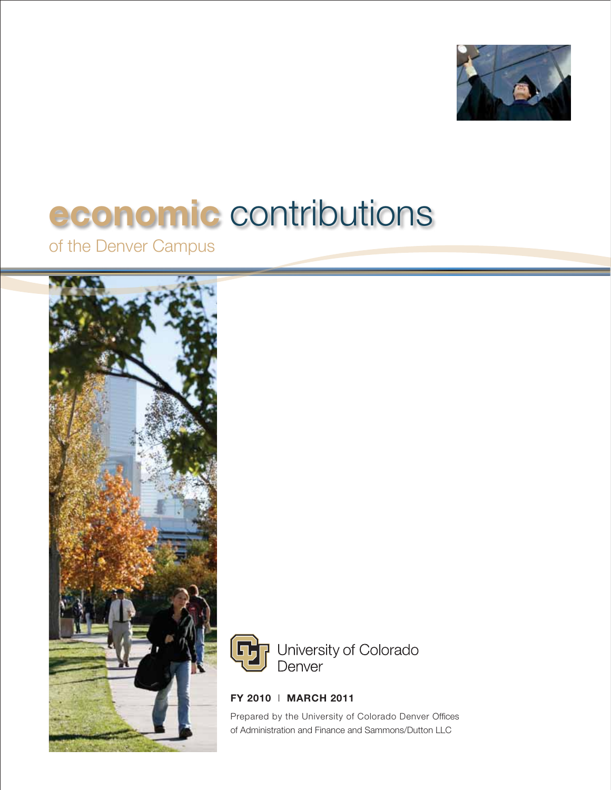

# **economic** contributions

of the Denver Campus





**FY 2010** l **MARCH 2011**

Prepared by the University of Colorado Denver Offices of Administration and Finance and Sammons/Dutton LLC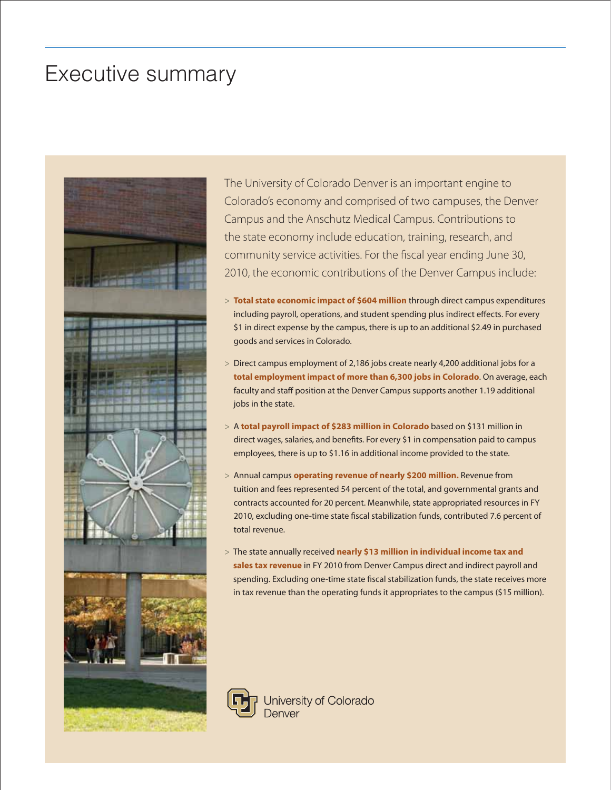# Executive summary



The University of Colorado Denver is an important engine to Colorado's economy and comprised of two campuses, the Denver Campus and the Anschutz Medical Campus. Contributions to the state economy include education, training, research, and community service activities. For the fiscal year ending June 30, 2010, the economic contributions of the Denver Campus include:

- > **Total state economic impact of \$604 million** through direct campus expenditures including payroll, operations, and student spending plus indirect effects. For every \$1 in direct expense by the campus, there is up to an additional \$2.49 in purchased goods and services in Colorado.
- > Direct campus employment of 2,186 jobs create nearly 4,200 additional jobs for a **total employment impact of more than 6,300 jobs in Colorado**. On average, each faculty and staff position at the Denver Campus supports another 1.19 additional jobs in the state.
- > A **total payroll impact of \$283 million in Colorado** based on \$131 million in direct wages, salaries, and benefits. For every \$1 in compensation paid to campus employees, there is up to \$1.16 in additional income provided to the state.
- > Annual campus **operating revenue of nearly \$200 million.** Revenue from tuition and fees represented 54 percent of the total, and governmental grants and contracts accounted for 20 percent. Meanwhile, state appropriated resources in FY 2010, excluding one-time state fiscal stabilization funds, contributed 7.6 percent of total revenue.
- > The state annually received **nearly \$13 million in individual income tax and sales tax revenue** in FY 2010 from Denver Campus direct and indirect payroll and spending. Excluding one-time state fiscal stabilization funds, the state receives more in tax revenue than the operating funds it appropriates to the campus (\$15 million).

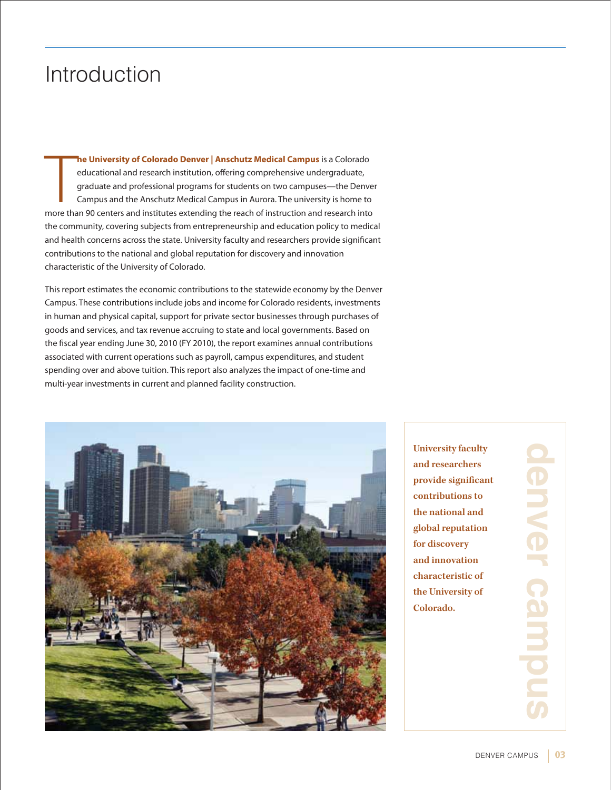# Introduction

**The University of Colorado Denver | Anschutz Medical Campus** is a Colorado educational and research institution, offering comprehensive undergraduate, graduate and professional programs for students on two campuses—the De **he University of Colorado Denver | Anschutz Medical Campus** is a Colorado educational and research institution, offering comprehensive undergraduate, graduate and professional programs for students on two campuses—the Denver Campus and the Anschutz Medical Campus in Aurora. The university is home to the community, covering subjects from entrepreneurship and education policy to medical and health concerns across the state. University faculty and researchers provide significant contributions to the national and global reputation for discovery and innovation characteristic of the University of Colorado.

This report estimates the economic contributions to the statewide economy by the Denver Campus. These contributions include jobs and income for Colorado residents, investments in human and physical capital, support for private sector businesses through purchases of goods and services, and tax revenue accruing to state and local governments. Based on the fiscal year ending June 30, 2010 (FY 2010), the report examines annual contributions associated with current operations such as payroll, campus expenditures, and student spending over and above tuition. This report also analyzes the impact of one-time and multi-year investments in current and planned facility construction.



**University faculty and researchers provide significant contributions to the national and global reputation for discovery and innovation characteristic of the University of Colorado.**

**denver campusJenver camin**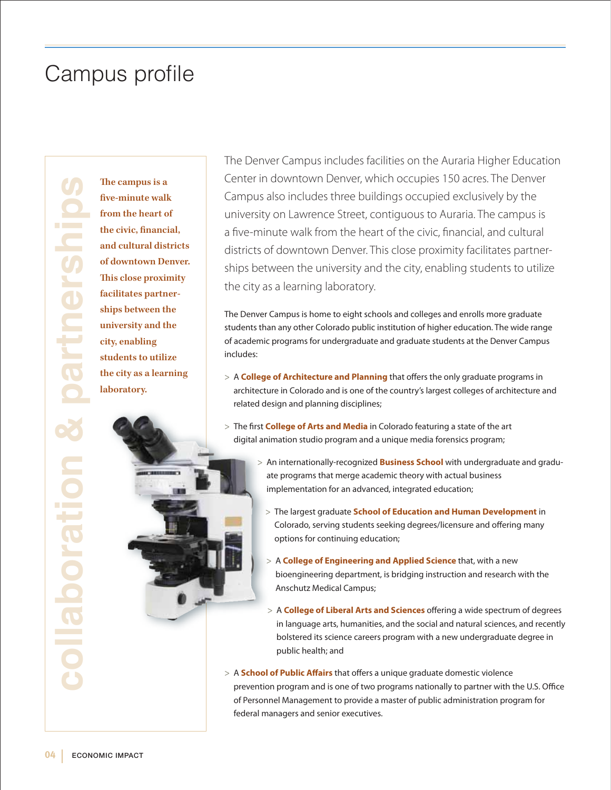# Campus profile

**104 ECONOMIC IMPACT** 

**five-minute walk from the heart of the civic, financial, and cultural districts of downtown Denver. This close proximity facilitates partnerships between the university and the city, enabling students to utilize the city as a learning laboratory.**

The Denver Campus includes facilities on the Auraria Higher Education Center in downtown Denver, which occupies 150 acres. The Denver Campus also includes three buildings occupied exclusively by the university on Lawrence Street, contiguous to Auraria. The campus is a five-minute walk from the heart of the civic, financial, and cultural districts of downtown Denver. This close proximity facilitates partnerships between the university and the city, enabling students to utilize the city as a learning laboratory.

The Denver Campus is home to eight schools and colleges and enrolls more graduate students than any other Colorado public institution of higher education. The wide range of academic programs for undergraduate and graduate students at the Denver Campus includes:

- > A **College of Architecture and Planning** that offers the only graduate programs in architecture in Colorado and is one of the country's largest colleges of architecture and related design and planning disciplines;
- > The first **College of Arts and Media** in Colorado featuring a state of the art digital animation studio program and a unique media forensics program;
	- > An internationally-recognized **Business School** with undergraduate and graduate programs that merge academic theory with actual business implementation for an advanced, integrated education;
		- > The largest graduate **School of Education and Human Development** in Colorado, serving students seeking degrees/licensure and offering many options for continuing education;
		- > A **College of Engineering and Applied Science** that, with a new bioengineering department, is bridging instruction and research with the Anschutz Medical Campus;
		- > A **College of Liberal Arts and Sciences** offering a wide spectrum of degrees in language arts, humanities, and the social and natural sciences, and recently bolstered its science careers program with a new undergraduate degree in public health; and
- > A **School of Public Affairs** that offers a unique graduate domestic violence prevention program and is one of two programs nationally to partner with the U.S. Office of Personnel Management to provide a master of public administration program for federal managers and senior executives.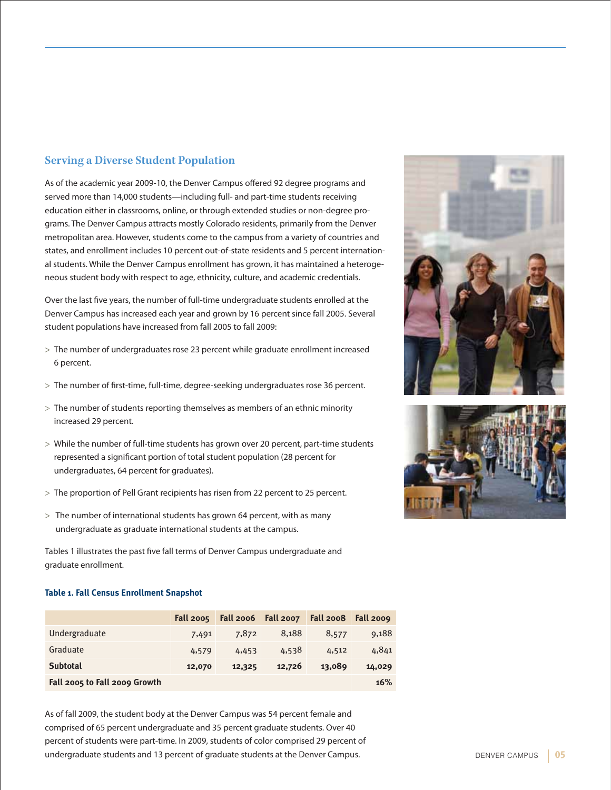### **Serving a Diverse Student Population**

As of the academic year 2009-10, the Denver Campus offered 92 degree programs and served more than 14,000 students—including full- and part-time students receiving education either in classrooms, online, or through extended studies or non-degree programs. The Denver Campus attracts mostly Colorado residents, primarily from the Denver metropolitan area. However, students come to the campus from a variety of countries and states, and enrollment includes 10 percent out-of-state residents and 5 percent international students. While the Denver Campus enrollment has grown, it has maintained a heterogeneous student body with respect to age, ethnicity, culture, and academic credentials.

Over the last five years, the number of full-time undergraduate students enrolled at the Denver Campus has increased each year and grown by 16 percent since fall 2005. Several student populations have increased from fall 2005 to fall 2009:

- > The number of undergraduates rose 23 percent while graduate enrollment increased 6 percent.
- > The number of first-time, full-time, degree-seeking undergraduates rose 36 percent.
- > The number of students reporting themselves as members of an ethnic minority increased 29 percent.
- > While the number of full-time students has grown over 20 percent, part-time students represented a significant portion of total student population (28 percent for undergraduates, 64 percent for graduates).
- > The proportion of Pell Grant recipients has risen from 22 percent to 25 percent.
- > The number of international students has grown 64 percent, with as many undergraduate as graduate international students at the campus.

Tables 1 illustrates the past five fall terms of Denver Campus undergraduate and graduate enrollment.

#### **Table 1. Fall Census Enrollment Snapshot**

|                               | <b>Fall 2005</b> |        | Fall 2006    Fall 2007 | <b>Fall 2008</b> | Fall 2009 |
|-------------------------------|------------------|--------|------------------------|------------------|-----------|
| Undergraduate                 | 7,491            | 7,872  | 8,188                  | 8,577            | 9,188     |
| Graduate                      | 4,579            | 4,453  | 4,538                  | 4,512            | 4,841     |
| <b>Subtotal</b>               | 12,070           | 12,325 | 12,726                 | 13,089           | 14,029    |
| Fall 2005 to Fall 2009 Growth |                  |        |                        |                  | 16%       |

As of fall 2009, the student body at the Denver Campus was 54 percent female and comprised of 65 percent undergraduate and 35 percent graduate students. Over 40 percent of students were part-time. In 2009, students of color comprised 29 percent of undergraduate students and 13 percent of graduate students at the Denver Campus.



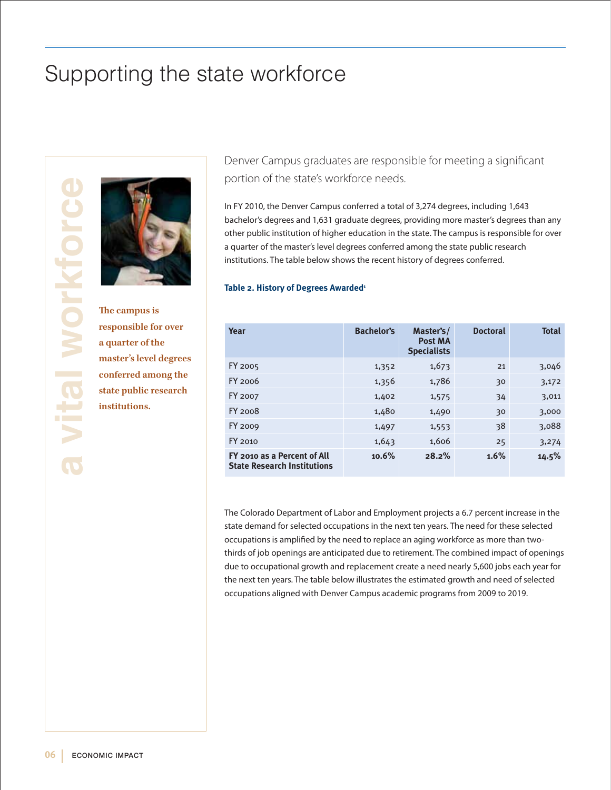# Supporting the state workforce



**The campus is responsible for over a quarter of the master's level degrees conferred among the state public research institutions.**

Denver Campus graduates are responsible for meeting a significant portion of the state's workforce needs.

In FY 2010, the Denver Campus conferred a total of 3,274 degrees, including 1,643 bachelor's degrees and 1,631 graduate degrees, providing more master's degrees than any other public institution of higher education in the state. The campus is responsible for over a quarter of the master's level degrees conferred among the state public research institutions. The table below shows the recent history of degrees conferred.

#### **Table 2. History of Degrees Awarded<sup>1</sup>**

| Year                                                              | <b>Bachelor's</b> | Master's/<br>Post MA<br><b>Specialists</b> | <b>Doctoral</b> | <b>Total</b> |
|-------------------------------------------------------------------|-------------------|--------------------------------------------|-----------------|--------------|
| FY 2005                                                           | 1,352             | 1,673                                      | 21              | 3,046        |
| $FY$ 2006                                                         | 1,356             | 1,786                                      | 30              | 3,172        |
| FY 2007                                                           | 1,402             | 1,575                                      | 34              | 3,011        |
| <b>FY 2008</b>                                                    | 1,480             | 1,490                                      | 30              | 3,000        |
| FY 2009                                                           | 1,497             | 1,553                                      | 38              | 3,088        |
| FY 2010                                                           | 1,643             | 1,606                                      | 25              | 3,274        |
| FY 2010 as a Percent of All<br><b>State Research Institutions</b> | 10.6%             | 28.2%                                      | 1.6%            | 14.5%        |

The Colorado Department of Labor and Employment projects a 6.7 percent increase in the state demand for selected occupations in the next ten years. The need for these selected occupations is amplified by the need to replace an aging workforce as more than twothirds of job openings are anticipated due to retirement. The combined impact of openings due to occupational growth and replacement create a need nearly 5,600 jobs each year for the next ten years. The table below illustrates the estimated growth and need of selected occupations aligned with Denver Campus academic programs from 2009 to 2019.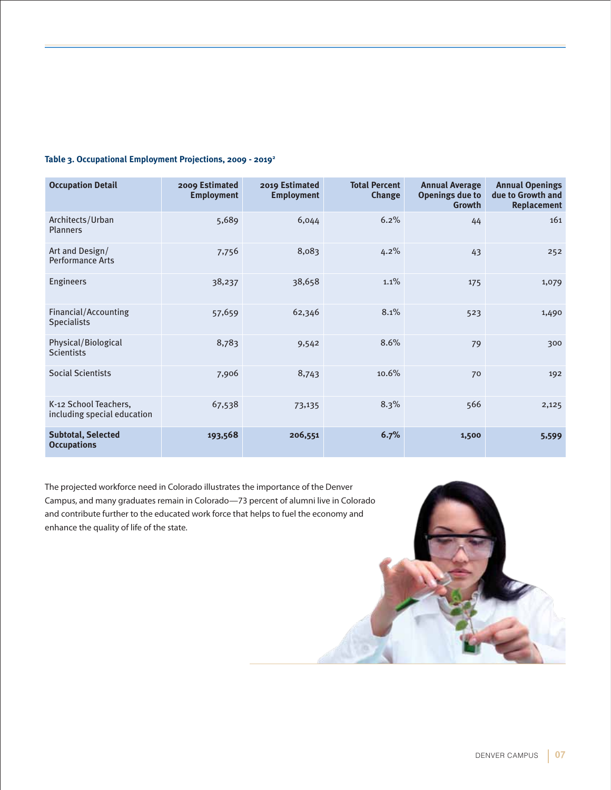#### **Table 3. Occupational Employment Projections, 2009 - 20192**

| <b>Occupation Detail</b>                             | 2009 Estimated<br><b>Employment</b> | 2019 Estimated<br><b>Employment</b> | <b>Total Percent</b><br>Change | <b>Annual Average</b><br><b>Openings due to</b><br>Growth | <b>Annual Openings</b><br>due to Growth and<br><b>Replacement</b> |
|------------------------------------------------------|-------------------------------------|-------------------------------------|--------------------------------|-----------------------------------------------------------|-------------------------------------------------------------------|
| Architects/Urban<br><b>Planners</b>                  | 5,689                               | 6,044                               | 6.2%                           | 44                                                        | 161                                                               |
| Art and Design/<br><b>Performance Arts</b>           | 7,756                               | 8,083                               | 4.2%                           | 43                                                        | 252                                                               |
| Engineers                                            | 38,237                              | 38,658                              | 1.1%                           | 175                                                       | 1,079                                                             |
| Financial/Accounting<br><b>Specialists</b>           | 57,659                              | 62,346                              | 8.1%                           | 523                                                       | 1,490                                                             |
| Physical/Biological<br><b>Scientists</b>             | 8,783                               | 9,542                               | 8.6%                           | 79                                                        | 300                                                               |
| <b>Social Scientists</b>                             | 7,906                               | 8,743                               | 10.6%                          | 70                                                        | 192                                                               |
| K-12 School Teachers,<br>including special education | 67,538                              | 73,135                              | 8.3%                           | 566                                                       | 2,125                                                             |
| <b>Subtotal, Selected</b><br><b>Occupations</b>      | 193,568                             | 206,551                             | 6.7%                           | 1,500                                                     | 5,599                                                             |

The projected workforce need in Colorado illustrates the importance of the Denver Campus, and many graduates remain in Colorado—73 percent of alumni live in Colorado and contribute further to the educated work force that helps to fuel the economy and enhance the quality of life of the state.

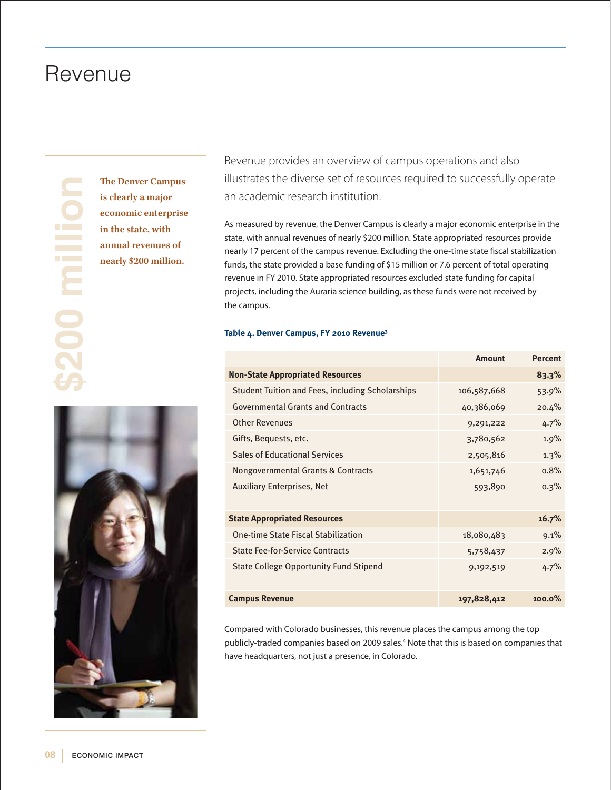# Revenue

**\$200 millionThe Denver Campus** 

**is clearly a major economic enterprise in the state, with annual revenues of nearly \$200 million.** 



Revenue provides an overview of campus operations and also illustrates the diverse set of resources required to successfully operate an academic research institution.

As measured by revenue, the Denver Campus is clearly a major economic enterprise in the state, with annual revenues of nearly \$200 million. State appropriated resources provide nearly 17 percent of the campus revenue. Excluding the one-time state fiscal stabilization funds, the state provided a base funding of \$15 million or 7.6 percent of total operating revenue in FY 2010. State appropriated resources excluded state funding for capital projects, including the Auraria science building, as these funds were not received by the campus.

**Amount Percent**

#### **Table 4. Denver Campus, FY 2010 Revenue3**

|                                                         | Allioulil   | reiceill  |
|---------------------------------------------------------|-------------|-----------|
| <b>Non-State Appropriated Resources</b>                 |             | 83.3%     |
| <b>Student Tuition and Fees, including Scholarships</b> | 106,587,668 | 53.9%     |
| <b>Governmental Grants and Contracts</b>                | 40,386,069  | 20.4%     |
| <b>Other Revenues</b>                                   | 9,291,222   | 4.7%      |
| Gifts, Bequests, etc.                                   | 3,780,562   | 1.9%      |
| <b>Sales of Educational Services</b>                    | 2,505,816   | 1.3%      |
| Nongovernmental Grants & Contracts                      | 1,651,746   | 0.8%      |
| <b>Auxiliary Enterprises, Net</b>                       | 593,890     | 0.3%      |
|                                                         |             |           |
| <b>State Appropriated Resources</b>                     |             | 16.7%     |
| One-time State Fiscal Stabilization                     | 18,080,483  | 9.1%      |
| <b>State Fee-for-Service Contracts</b>                  | 5,758,437   | 2.9%      |
| <b>State College Opportunity Fund Stipend</b>           | 9,192,519   | 4.7%      |
|                                                         |             |           |
| <b>Campus Revenue</b>                                   | 197,828,412 | $100.0\%$ |

Compared with Colorado businesses, this revenue places the campus among the top publicly-traded companies based on 2009 sales.4 Note that this is based on companies that have headquarters, not just a presence, in Colorado.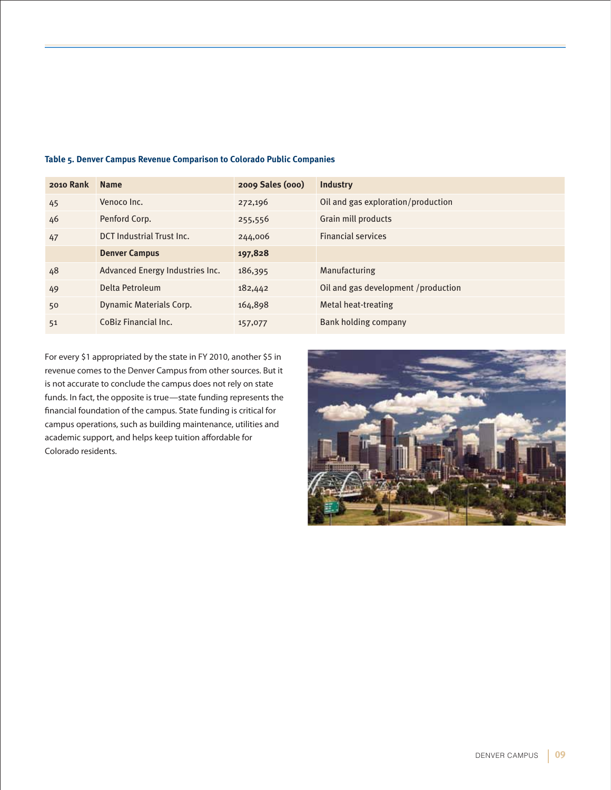| 2010 Rank | <b>Name</b>                      | 2009 Sales (000) | <b>Industry</b>                     |
|-----------|----------------------------------|------------------|-------------------------------------|
| 45        | Venoco Inc.                      | 272,196          | Oil and gas exploration/production  |
| 46        | Penford Corp.                    | 255,556          | Grain mill products                 |
| 47        | <b>DCT Industrial Trust Inc.</b> | 244,006          | <b>Financial services</b>           |
|           | <b>Denver Campus</b>             | 197,828          |                                     |
| 48        | Advanced Energy Industries Inc.  | 186,395          | <b>Manufacturing</b>                |
| 49        | Delta Petroleum                  | 182,442          | Oil and gas development /production |
| 50        | <b>Dynamic Materials Corp.</b>   | 164,898          | Metal heat-treating                 |
| 51        | CoBiz Financial Inc.             | 157,077          | Bank holding company                |

#### **Table 5. Denver Campus Revenue Comparison to Colorado Public Companies**

For every \$1 appropriated by the state in FY 2010, another \$5 in revenue comes to the Denver Campus from other sources. But it is not accurate to conclude the campus does not rely on state funds. In fact, the opposite is true—state funding represents the financial foundation of the campus. State funding is critical for campus operations, such as building maintenance, utilities and academic support, and helps keep tuition affordable for Colorado residents.

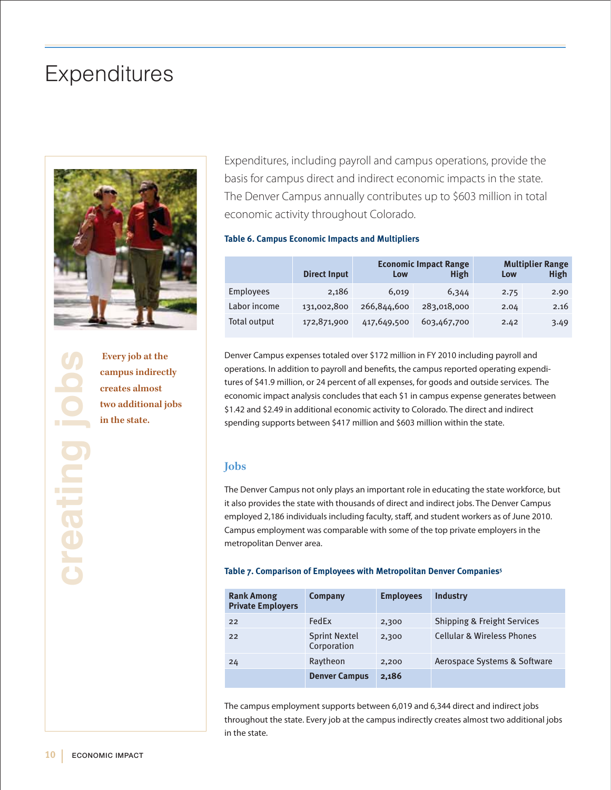# **Expenditures**



Every job at the campus indirect creates almost<br>two additional journal in the state. **campus indirectly creates almost two additional jobs in the state.**

Expenditures, including payroll and campus operations, provide the basis for campus direct and indirect economic impacts in the state. The Denver Campus annually contributes up to \$603 million in total economic activity throughout Colorado.

#### **Table 6. Campus Economic Impacts and Multipliers**

|                  | <b>Direct Input</b> | <b>Economic Impact Range</b><br>High<br>Low |             | Low  | <b>Multiplier Range</b><br>High |
|------------------|---------------------|---------------------------------------------|-------------|------|---------------------------------|
| <b>Employees</b> | 2.186               | 6,019                                       | 6,344       | 2.75 | 2.90                            |
| Labor income     | 131,002,800         | 266,844,600                                 | 283,018,000 | 2.04 | 2.16                            |
| Total output     | 172,871,900         | 417,649,500                                 | 603,467,700 | 2.42 | 3.49                            |

Denver Campus expenses totaled over \$172 million in FY 2010 including payroll and operations. In addition to payroll and benefits, the campus reported operating expenditures of \$41.9 million, or 24 percent of all expenses, for goods and outside services. The economic impact analysis concludes that each \$1 in campus expense generates between \$1.42 and \$2.49 in additional economic activity to Colorado. The direct and indirect spending supports between \$417 million and \$603 million within the state.

### **Jobs**

The Denver Campus not only plays an important role in educating the state workforce, but it also provides the state with thousands of direct and indirect jobs. The Denver Campus employed 2,186 individuals including faculty, staff, and student workers as of June 2010. Campus employment was comparable with some of the top private employers in the metropolitan Denver area.

#### **Table 7. Comparison of Employees with Metropolitan Denver Companies5**

| <b>Rank Among</b><br><b>Private Employers</b> | Company                             | <b>Employees</b> | <b>Industry</b>                        |
|-----------------------------------------------|-------------------------------------|------------------|----------------------------------------|
| 22                                            | FedFx                               | 2,300            | <b>Shipping &amp; Freight Services</b> |
| 22                                            | <b>Sprint Nextel</b><br>Corporation | 2,300            | <b>Cellular &amp; Wireless Phones</b>  |
| 24                                            | Raytheon                            | 2,200            | Aerospace Systems & Software           |
|                                               | <b>Denver Campus</b>                | 2,186            |                                        |

The campus employment supports between 6,019 and 6,344 direct and indirect jobs throughout the state. Every job at the campus indirectly creates almost two additional jobs in the state.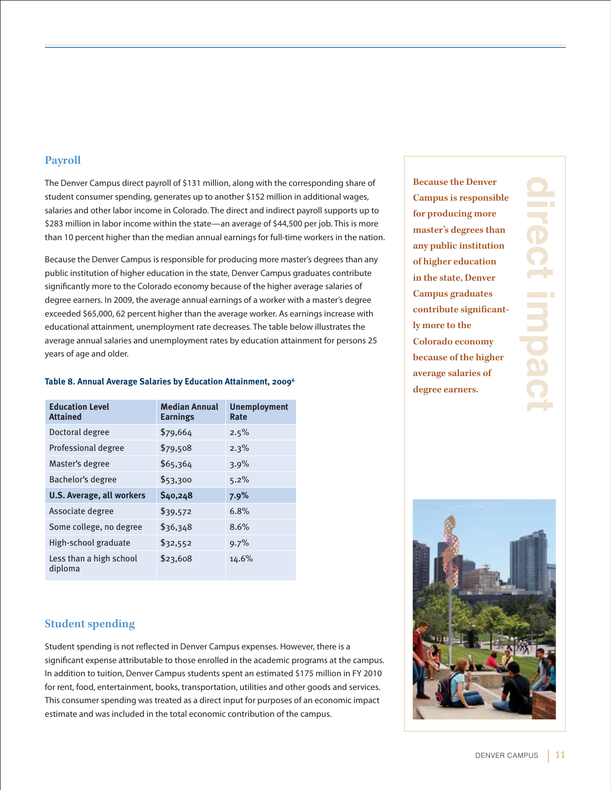### **Payroll**

The Denver Campus direct payroll of \$131 million, along with the corresponding share of student consumer spending, generates up to another \$152 million in additional wages, salaries and other labor income in Colorado. The direct and indirect payroll supports up to \$283 million in labor income within the state—an average of \$44,500 per job. This is more than 10 percent higher than the median annual earnings for full-time workers in the nation.

Because the Denver Campus is responsible for producing more master's degrees than any public institution of higher education in the state, Denver Campus graduates contribute significantly more to the Colorado economy because of the higher average salaries of degree earners. In 2009, the average annual earnings of a worker with a master's degree exceeded \$65,000, 62 percent higher than the average worker. As earnings increase with educational attainment, unemployment rate decreases. The table below illustrates the average annual salaries and unemployment rates by education attainment for persons 25 years of age and older.

| <b>Education Level</b><br><b>Attained</b> | <b>Median Annual</b><br><b>Earnings</b> | <b>Unemployment</b><br>Rate |
|-------------------------------------------|-----------------------------------------|-----------------------------|
| Doctoral degree                           | \$79,664                                | 2.5%                        |
| Professional degree                       | \$79,508                                | 2.3%                        |
| Master's degree                           | \$65,364                                | 3.9%                        |
| Bachelor's degree                         | \$53,300                                | 5.2%                        |
| <b>U.S. Average, all workers</b>          | \$40,248                                | 7.9%                        |
| Associate degree                          | \$39,572                                | 6.8%                        |
| Some college, no degree                   | \$36,348                                | 8.6%                        |
| High-school graduate                      | \$32,552                                | 9.7%                        |
| Less than a high school<br>diploma        | \$23,608                                | 14.6%                       |

#### **Table 8. Annual Average Salaries by Education Attainment, 20096**

### **Student spending**

Student spending is not reflected in Denver Campus expenses. However, there is a significant expense attributable to those enrolled in the academic programs at the campus. In addition to tuition, Denver Campus students spent an estimated \$175 million in FY 2010 for rent, food, entertainment, books, transportation, utilities and other goods and services. This consumer spending was treated as a direct input for purposes of an economic impact estimate and was included in the total economic contribution of the campus.

**Because the Denver Campus is responsible for producing more master's degrees than any public institution of higher education in the state, Denver Campus graduates contribute significantly more to the Colorado economy because of the higher average salaries of degree earners.**



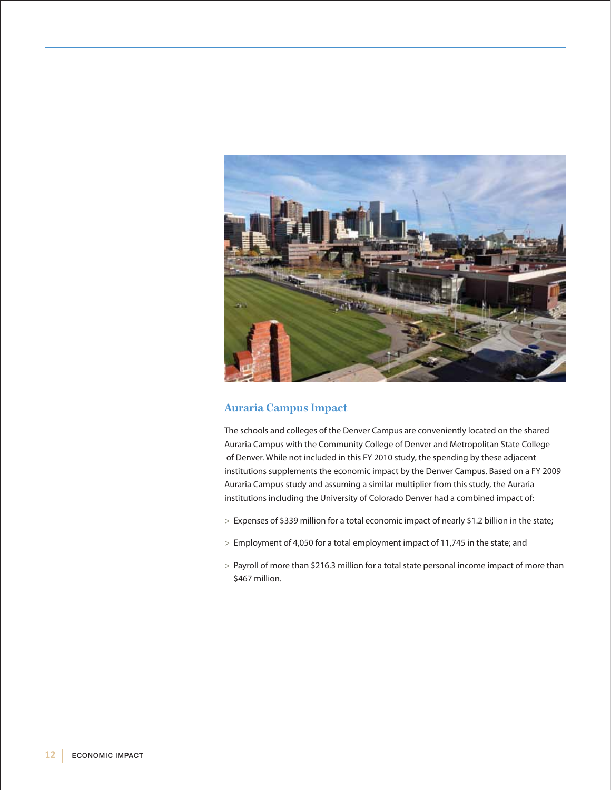

### **Auraria Campus Impact**

The schools and colleges of the Denver Campus are conveniently located on the shared Auraria Campus with the Community College of Denver and Metropolitan State College of Denver. While not included in this FY 2010 study, the spending by these adjacent institutions supplements the economic impact by the Denver Campus. Based on a FY 2009 Auraria Campus study and assuming a similar multiplier from this study, the Auraria institutions including the University of Colorado Denver had a combined impact of:

- > Expenses of \$339 million for a total economic impact of nearly \$1.2 billion in the state;
- > Employment of 4,050 for a total employment impact of 11,745 in the state; and
- > Payroll of more than \$216.3 million for a total state personal income impact of more than \$467 million.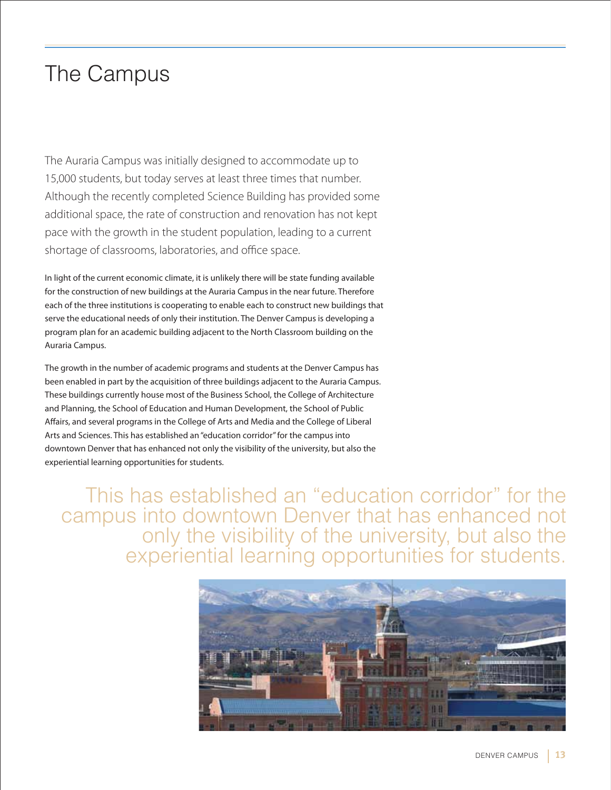# The Campus

The Auraria Campus was initially designed to accommodate up to 15,000 students, but today serves at least three times that number. Although the recently completed Science Building has provided some additional space, the rate of construction and renovation has not kept pace with the growth in the student population, leading to a current shortage of classrooms, laboratories, and office space.

In light of the current economic climate, it is unlikely there will be state funding available for the construction of new buildings at the Auraria Campus in the near future. Therefore each of the three institutions is cooperating to enable each to construct new buildings that serve the educational needs of only their institution. The Denver Campus is developing a program plan for an academic building adjacent to the North Classroom building on the Auraria Campus.

The growth in the number of academic programs and students at the Denver Campus has been enabled in part by the acquisition of three buildings adjacent to the Auraria Campus. These buildings currently house most of the Business School, the College of Architecture and Planning, the School of Education and Human Development, the School of Public Affairs, and several programs in the College of Arts and Media and the College of Liberal Arts and Sciences. This has established an "education corridor" for the campus into downtown Denver that has enhanced not only the visibility of the university, but also the experiential learning opportunities for students.

This has established an "education corridor" for the campus into downtown Denver that has enhanced not only the visibility of the university, but also the experiential learning opportunities for students.

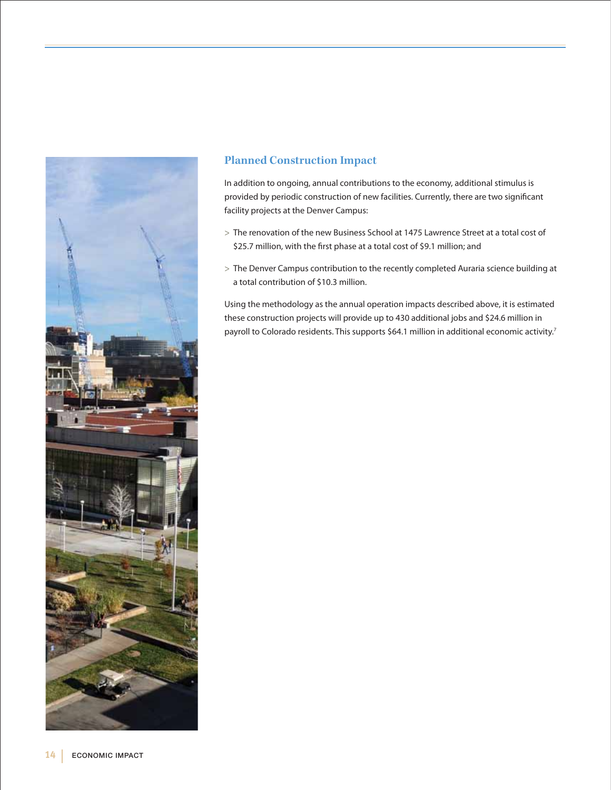

### **Planned Construction Impact**

In addition to ongoing, annual contributions to the economy, additional stimulus is provided by periodic construction of new facilities. Currently, there are two significant facility projects at the Denver Campus:

- > The renovation of the new Business School at 1475 Lawrence Street at a total cost of \$25.7 million, with the first phase at a total cost of \$9.1 million; and
- > The Denver Campus contribution to the recently completed Auraria science building at a total contribution of \$10.3 million.

Using the methodology as the annual operation impacts described above, it is estimated these construction projects will provide up to 430 additional jobs and \$24.6 million in payroll to Colorado residents. This supports \$64.1 million in additional economic activity.<sup>7</sup>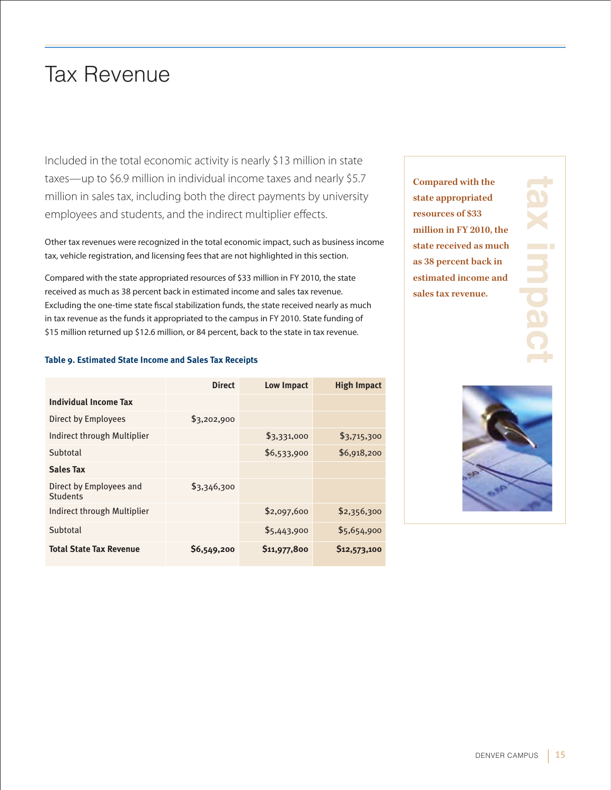# Tax Revenue

Included in the total economic activity is nearly \$13 million in state taxes—up to \$6.9 million in individual income taxes and nearly \$5.7 million in sales tax, including both the direct payments by university employees and students, and the indirect multiplier effects.

Other tax revenues were recognized in the total economic impact, such as business income tax, vehicle registration, and licensing fees that are not highlighted in this section.

Compared with the state appropriated resources of \$33 million in FY 2010, the state received as much as 38 percent back in estimated income and sales tax revenue. Excluding the one-time state fiscal stabilization funds, the state received nearly as much in tax revenue as the funds it appropriated to the campus in FY 2010. State funding of \$15 million returned up \$12.6 million, or 84 percent, back to the state in tax revenue.

#### **Table 9. Estimated State Income and Sales Tax Receipts**

|                                     | <b>Direct</b> | <b>Low Impact</b> | <b>High Impact</b> |
|-------------------------------------|---------------|-------------------|--------------------|
| <b>Individual Income Tax</b>        |               |                   |                    |
| Direct by Employees                 | \$3,202,900   |                   |                    |
| Indirect through Multiplier         |               | \$3,331,000       | \$3,715,300        |
| Subtotal                            |               | \$6,533,900       | \$6,918,200        |
| <b>Sales Tax</b>                    |               |                   |                    |
| Direct by Employees and<br>Students | \$3,346,300   |                   |                    |
| Indirect through Multiplier         |               | \$2,097,600       | \$2,356,300        |
| Subtotal                            |               | \$5,443,900       | \$5,654,900        |
| <b>Total State Tax Revenue</b>      | \$6,549,200   | \$11,977,800      | \$12,573,100       |

**Compared with the state appropriated resources of \$33 million in FY 2010, the state received as much as 38 percent back in estimated income and sales tax revenue.** 



**tax impact**

**REDD** 

and the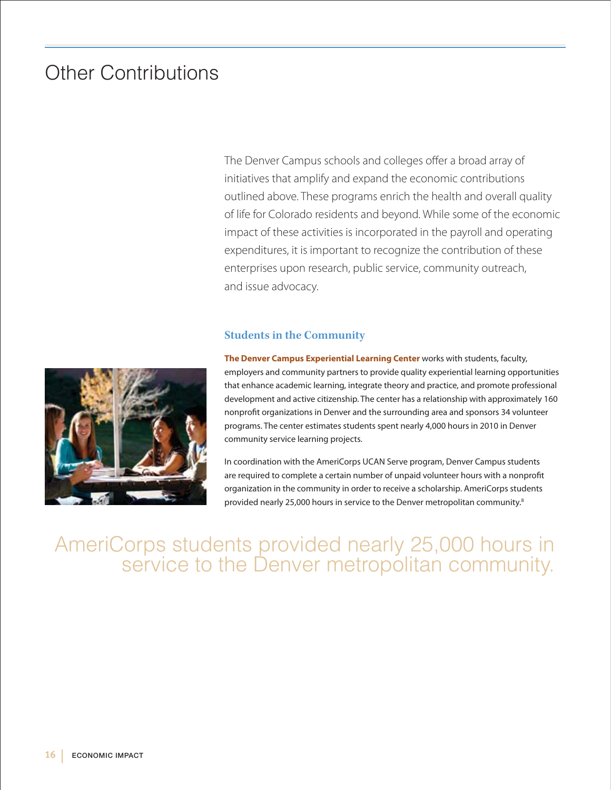# Other Contributions

The Denver Campus schools and colleges offer a broad array of initiatives that amplify and expand the economic contributions outlined above. These programs enrich the health and overall quality of life for Colorado residents and beyond. While some of the economic impact of these activities is incorporated in the payroll and operating expenditures, it is important to recognize the contribution of these enterprises upon research, public service, community outreach, and issue advocacy.

### **Students in the Community**



**The Denver Campus Experiential Learning Center** works with students, faculty, employers and community partners to provide quality experiential learning opportunities that enhance academic learning, integrate theory and practice, and promote professional development and active citizenship. The center has a relationship with approximately 160 nonprofit organizations in Denver and the surrounding area and sponsors 34 volunteer programs. The center estimates students spent nearly 4,000 hours in 2010 in Denver community service learning projects.

In coordination with the AmeriCorps UCAN Serve program, Denver Campus students are required to complete a certain number of unpaid volunteer hours with a nonprofit organization in the community in order to receive a scholarship. AmeriCorps students provided nearly 25,000 hours in service to the Denver metropolitan community.<sup>8</sup>

# AmeriCorps students provided nearly 25,000 hours in service to the Denver metropolitan community.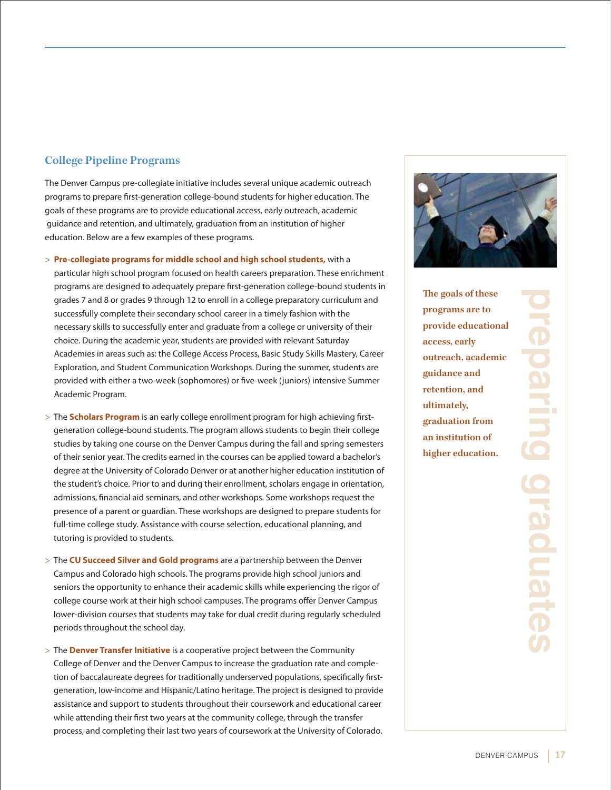### **College Pipeline Programs**

The Denver Campus pre-collegiate initiative includes several unique academic outreach programs to prepare first-generation college-bound students for higher education. The goals of these programs are to provide educational access, early outreach, academic guidance and retention, and ultimately, graduation from an institution of higher education. Below are a few examples of these programs.

> **Pre-collegiate programs for middle school and high school students,** with a

particular high school program focused on health careers preparation. These enrichment programs are designed to adequately prepare first-generation college-bound students in grades 7 and 8 or grades 9 through 12 to enroll in a college preparatory curriculum and successfully complete their secondary school career in a timely fashion with the necessary skills to successfully enter and graduate from a college or university of their choice. During the academic year, students are provided with relevant Saturday Academies in areas such as: the College Access Process, Basic Study Skills Mastery, Career Exploration, and Student Communication Workshops. During the summer, students are provided with either a two-week (sophomores) or five-week (juniors) intensive Summer Academic Program.

- > The **Scholars Program** is an early college enrollment program for high achieving firstgeneration college-bound students. The program allows students to begin their college studies by taking one course on the Denver Campus during the fall and spring semesters of their senior year. The credits earned in the courses can be applied toward a bachelor's degree at the University of Colorado Denver or at another higher education institution of the student's choice. Prior to and during their enrollment, scholars engage in orientation, admissions, financial aid seminars, and other workshops. Some workshops request the presence of a parent or guardian. These workshops are designed to prepare students for full-time college study. Assistance with course selection, educational planning, and tutoring is provided to students.
- > The **CU Succeed Silver and Gold programs** are a partnership between the Denver Campus and Colorado high schools. The programs provide high school juniors and seniors the opportunity to enhance their academic skills while experiencing the rigor of college course work at their high school campuses. The programs offer Denver Campus lower-division courses that students may take for dual credit during regularly scheduled periods throughout the school day.
- > The **Denver Transfer Initiative** is a cooperative project between the Community College of Denver and the Denver Campus to increase the graduation rate and completion of baccalaureate degrees for traditionally underserved populations, specifically firstgeneration, low-income and Hispanic/Latino heritage. The project is designed to provide assistance and support to students throughout their coursework and educational career while attending their first two years at the community college, through the transfer process, and completing their last two years of coursework at the University of Colorado.



**The goals of these programs are to provide educational access, early outreach, academic guidance and retention, and ultimately, graduation from an institution of higher education.** 

**preparing graduates**and the and a **PO** DO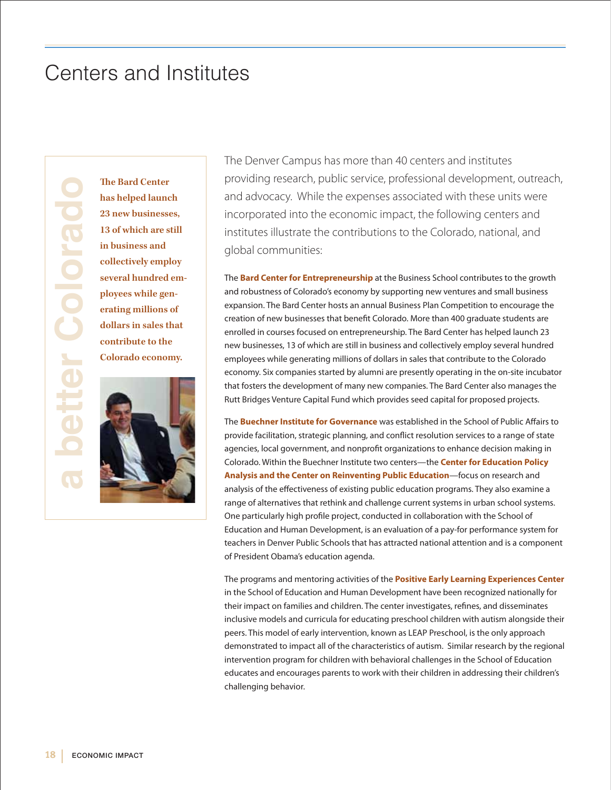# Centers and Institutes

The Bard Center<br>
has helped launc<br>
23 new businesse<br>
13 of which are st<br>
in business and<br>
collectively empl<br>
several hundred<br>
ployees while ger<br>
erating millions<br>
dollars in sales th<br>
contribute to the<br>
Colorado econor **has helped launch 23 new businesses, 13 of which are still in business and collectively employ several hundred employees while generating millions of dollars in sales that contribute to the Colorado economy.**



The Denver Campus has more than 40 centers and institutes providing research, public service, professional development, outreach, and advocacy. While the expenses associated with these units were incorporated into the economic impact, the following centers and institutes illustrate the contributions to the Colorado, national, and global communities:

The **Bard Center for Entrepreneurship** at the Business School contributes to the growth and robustness of Colorado's economy by supporting new ventures and small business expansion. The Bard Center hosts an annual Business Plan Competition to encourage the creation of new businesses that benefit Colorado. More than 400 graduate students are enrolled in courses focused on entrepreneurship. The Bard Center has helped launch 23 new businesses, 13 of which are still in business and collectively employ several hundred employees while generating millions of dollars in sales that contribute to the Colorado economy. Six companies started by alumni are presently operating in the on-site incubator that fosters the development of many new companies. The Bard Center also manages the Rutt Bridges Venture Capital Fund which provides seed capital for proposed projects.

The **Buechner Institute for Governance** was established in the School of Public Affairs to provide facilitation, strategic planning, and conflict resolution services to a range of state agencies, local government, and nonprofit organizations to enhance decision making in Colorado. Within the Buechner Institute two centers—the **Center for Education Policy Analysis and the Center on Reinventing Public Education**—focus on research and analysis of the effectiveness of existing public education programs. They also examine a range of alternatives that rethink and challenge current systems in urban school systems. One particularly high profile project, conducted in collaboration with the School of Education and Human Development, is an evaluation of a pay-for performance system for teachers in Denver Public Schools that has attracted national attention and is a component of President Obama's education agenda.

The programs and mentoring activities of the **Positive Early Learning Experiences Center** in the School of Education and Human Development have been recognized nationally for their impact on families and children. The center investigates, refines, and disseminates inclusive models and curricula for educating preschool children with autism alongside their peers. This model of early intervention, known as LEAP Preschool, is the only approach demonstrated to impact all of the characteristics of autism. Similar research by the regional intervention program for children with behavioral challenges in the School of Education educates and encourages parents to work with their children in addressing their children's challenging behavior.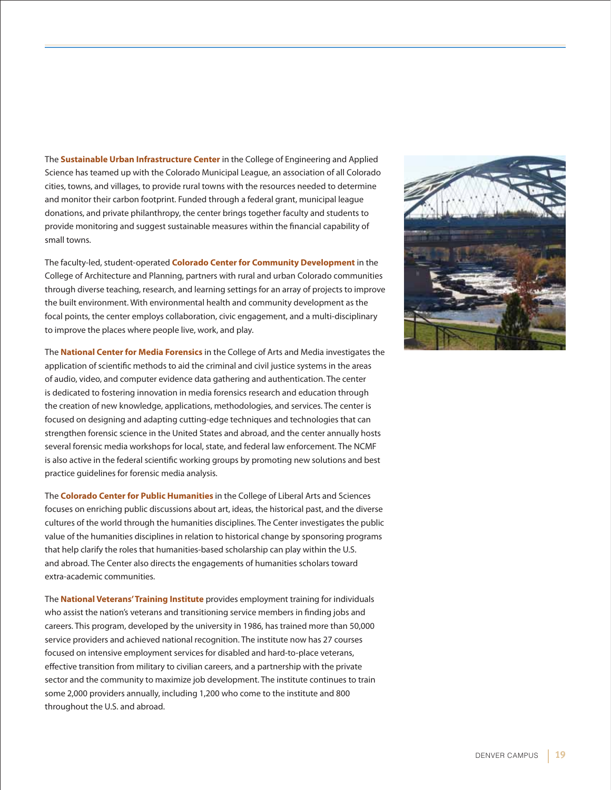The **Sustainable Urban Infrastructure Center** in the College of Engineering and Applied Science has teamed up with the Colorado Municipal League, an association of all Colorado cities, towns, and villages, to provide rural towns with the resources needed to determine and monitor their carbon footprint. Funded through a federal grant, municipal league donations, and private philanthropy, the center brings together faculty and students to provide monitoring and suggest sustainable measures within the financial capability of small towns.

The faculty-led, student-operated **Colorado Center for Community Development** in the College of Architecture and Planning, partners with rural and urban Colorado communities through diverse teaching, research, and learning settings for an array of projects to improve the built environment. With environmental health and community development as the focal points, the center employs collaboration, civic engagement, and a multi-disciplinary to improve the places where people live, work, and play.

The **National Center for Media Forensics** in the College of Arts and Media investigates the application of scientific methods to aid the criminal and civil justice systems in the areas of audio, video, and computer evidence data gathering and authentication. The center is dedicated to fostering innovation in media forensics research and education through the creation of new knowledge, applications, methodologies, and services. The center is focused on designing and adapting cutting-edge techniques and technologies that can strengthen forensic science in the United States and abroad, and the center annually hosts several forensic media workshops for local, state, and federal law enforcement. The NCMF is also active in the federal scientific working groups by promoting new solutions and best practice guidelines for forensic media analysis.

The **Colorado Center for Public Humanities** in the College of Liberal Arts and Sciences focuses on enriching public discussions about art, ideas, the historical past, and the diverse cultures of the world through the humanities disciplines. The Center investigates the public value of the humanities disciplines in relation to historical change by sponsoring programs that help clarify the roles that humanities-based scholarship can play within the U.S. and abroad. The Center also directs the engagements of humanities scholars toward extra-academic communities.

The **National Veterans'Training Institute** provides employment training for individuals who assist the nation's veterans and transitioning service members in finding jobs and careers. This program, developed by the university in 1986, has trained more than 50,000 service providers and achieved national recognition. The institute now has 27 courses focused on intensive employment services for disabled and hard-to-place veterans, effective transition from military to civilian careers, and a partnership with the private sector and the community to maximize job development. The institute continues to train some 2,000 providers annually, including 1,200 who come to the institute and 800 throughout the U.S. and abroad.

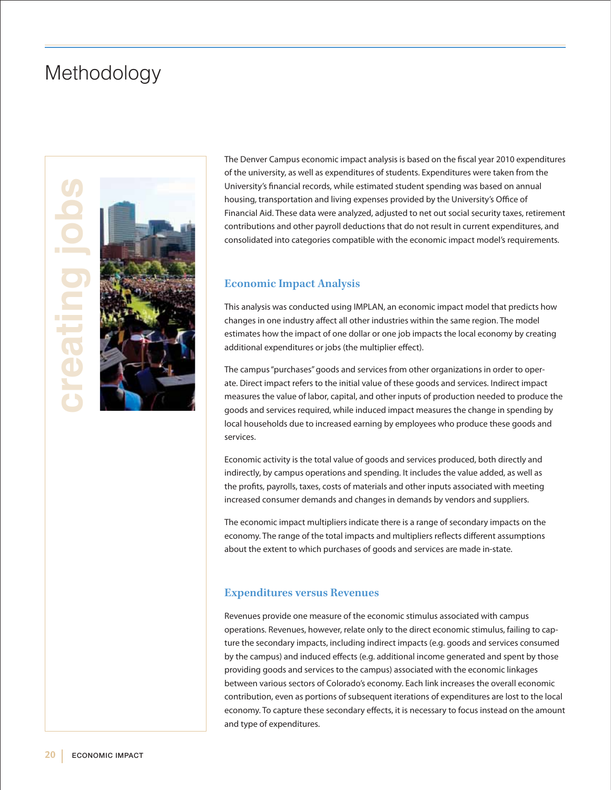### Methodology





The Denver Campus economic impact analysis is based on the fiscal year 2010 expenditures of the university, as well as expenditures of students. Expenditures were taken from the University's financial records, while estimated student spending was based on annual housing, transportation and living expenses provided by the University's Office of Financial Aid. These data were analyzed, adjusted to net out social security taxes, retirement contributions and other payroll deductions that do not result in current expenditures, and consolidated into categories compatible with the economic impact model's requirements.

#### **Economic Impact Analysis**

This analysis was conducted using IMPLAN, an economic impact model that predicts how changes in one industry affect all other industries within the same region. The model estimates how the impact of one dollar or one job impacts the local economy by creating additional expenditures or jobs (the multiplier effect).

The campus "purchases" goods and services from other organizations in order to operate. Direct impact refers to the initial value of these goods and services. Indirect impact measures the value of labor, capital, and other inputs of production needed to produce the goods and services required, while induced impact measures the change in spending by local households due to increased earning by employees who produce these goods and services.

Economic activity is the total value of goods and services produced, both directly and indirectly, by campus operations and spending. It includes the value added, as well as the profits, payrolls, taxes, costs of materials and other inputs associated with meeting increased consumer demands and changes in demands by vendors and suppliers.

The economic impact multipliers indicate there is a range of secondary impacts on the economy. The range of the total impacts and multipliers reflects different assumptions about the extent to which purchases of goods and services are made in-state.

#### **Expenditures versus Revenues**

Revenues provide one measure of the economic stimulus associated with campus operations. Revenues, however, relate only to the direct economic stimulus, failing to capture the secondary impacts, including indirect impacts (e.g. goods and services consumed by the campus) and induced effects (e.g. additional income generated and spent by those providing goods and services to the campus) associated with the economic linkages between various sectors of Colorado's economy. Each link increases the overall economic contribution, even as portions of subsequent iterations of expenditures are lost to the local economy. To capture these secondary effects, it is necessary to focus instead on the amount and type of expenditures.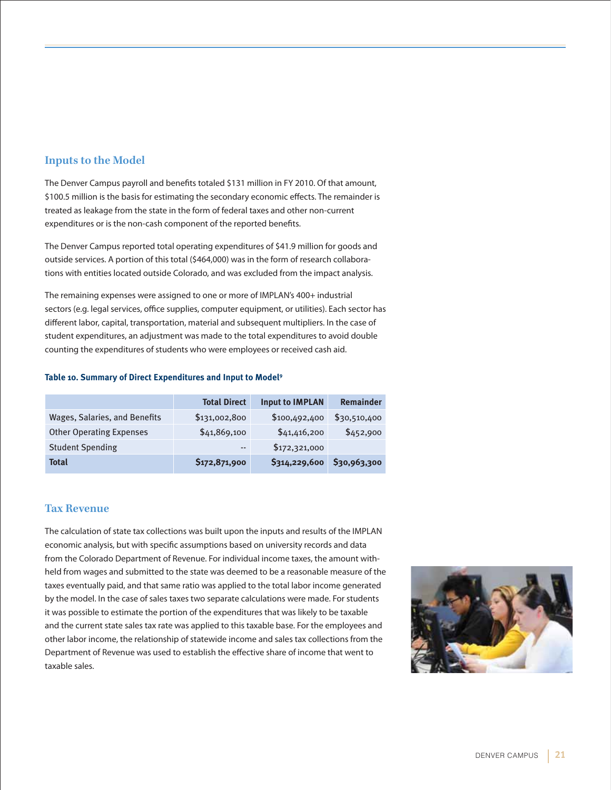### **Inputs to the Model**

The Denver Campus payroll and benefits totaled \$131 million in FY 2010. Of that amount, \$100.5 million is the basis for estimating the secondary economic effects. The remainder is treated as leakage from the state in the form of federal taxes and other non-current expenditures or is the non-cash component of the reported benefits.

The Denver Campus reported total operating expenditures of \$41.9 million for goods and outside services. A portion of this total (\$464,000) was in the form of research collaborations with entities located outside Colorado, and was excluded from the impact analysis.

The remaining expenses were assigned to one or more of IMPLAN's 400+ industrial sectors (e.g. legal services, office supplies, computer equipment, or utilities). Each sector has different labor, capital, transportation, material and subsequent multipliers. In the case of student expenditures, an adjustment was made to the total expenditures to avoid double counting the expenditures of students who were employees or received cash aid.

#### **Table 10. Summary of Direct Expenditures and Input to Model9**

|                                 | <b>Total Direct</b> | <b>Input to IMPLAN</b> | Remainder    |
|---------------------------------|---------------------|------------------------|--------------|
| Wages, Salaries, and Benefits   | \$131,002,800       | \$100,492,400          | \$30,510,400 |
| <b>Other Operating Expenses</b> | \$41,869,100        | \$41,416,200           | \$452,900    |
| <b>Student Spending</b>         | $- -$               | \$172,321,000          |              |
| <b>Total</b>                    | \$172,871,900       | \$314,229,600          | \$30,963,300 |

### **Tax Revenue**

The calculation of state tax collections was built upon the inputs and results of the IMPLAN economic analysis, but with specific assumptions based on university records and data from the Colorado Department of Revenue. For individual income taxes, the amount withheld from wages and submitted to the state was deemed to be a reasonable measure of the taxes eventually paid, and that same ratio was applied to the total labor income generated by the model. In the case of sales taxes two separate calculations were made. For students it was possible to estimate the portion of the expenditures that was likely to be taxable and the current state sales tax rate was applied to this taxable base. For the employees and other labor income, the relationship of statewide income and sales tax collections from the Department of Revenue was used to establish the effective share of income that went to taxable sales.